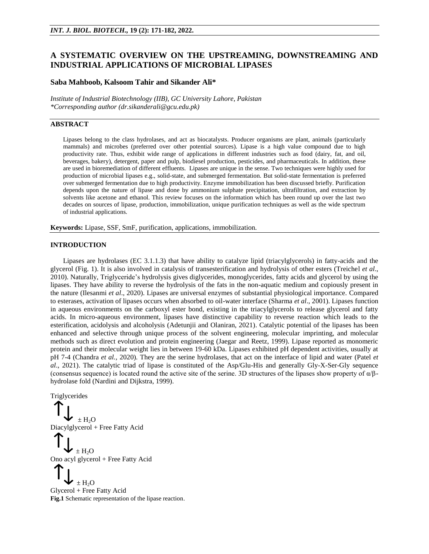# **A SYSTEMATIC OVERVIEW ON THE UPSTREAMING, DOWNSTREAMING AND INDUSTRIAL APPLICATIONS OF MICROBIAL LIPASES**

## **Saba Mahboob, Kalsoom Tahir and Sikander Ali\***

*Institute of Industrial Biotechnology (IIB), GC University Lahore, Pakistan \*Corresponding author (dr.sikanderali@gcu.edu.pk)*

## **ABSTRACT**

Lipases belong to the class hydrolases, and act as biocatalysts. Producer organisms are plant, animals (particularly mammals) and microbes (preferred over other potential sources). Lipase is a high value compound due to high productivity rate. Thus, exhibit wide range of applications in different industries such as food (dairy, fat, and oil, beverages, bakery), detergent, paper and pulp, biodiesel production, pesticides, and pharmaceuticals. In addition, these are used in bioremediation of different effluents. Lipases are unique in the sense. Two techniques were highly used for production of microbial lipases e.g., solid-state, and submerged fermentation. But solid-state fermentation is preferred over submerged fermentation due to high productivity. Enzyme immobilization has been discussed briefly. Purification depends upon the nature of lipase and done by ammonium sulphate precipitation, ultrafiltration, and extraction by solvents like acetone and ethanol. This review focuses on the information which has been round up over the last two decades on sources of lipase, production, immobilization, unique purification techniques as well as the wide spectrum of industrial applications.

**Keywords:** Lipase, SSF, SmF, purification, applications, immobilization.

### **INTRODUCTION**

Lipases are hydrolases (EC 3.1.1.3) that have ability to catalyze lipid (triacylglycerols) in fatty-acids and the glycerol (Fig. 1). It is also involved in catalysis of transesterification and hydrolysis of other esters (Treichel *et al*., 2010). Naturally, Triglyceride's hydrolysis gives diglycerides, monoglycerides, fatty acids and glycerol by using the lipases. They have ability to reverse the hydrolysis of the fats in the non-aquatic medium and copiously present in the nature (Ilesanmi *et al*., 2020). Lipases are universal enzymes of substantial physiological importance. Compared to esterases, activation of lipases occurs when absorbed to oil-water interface (Sharma *et al*., 2001). Lipases function in aqueous environments on the carboxyl ester bond, existing in the triacylglycerols to release glycerol and fatty acids. In micro-aqueous environment, lipases have distinctive capability to reverse reaction which leads to the esterification, acidolysis and alcoholysis (Adetunjii and Olaniran, 2021). Catalytic potential of the lipases has been enhanced and selective through unique process of the solvent engineering, molecular imprinting, and molecular methods such as direct evolution and protein engineering (Jaegar and Reetz, 1999). Lipase reported as monomeric protein and their molecular weight lies in between 19-60 kDa. Lipases exhibited pH dependent activities, usually at pH 7-4 (Chandra *et al.,* 2020). They are the serine hydrolases, that act on the interface of lipid and water (Patel *et al*., 2021). The catalytic triad of lipase is constituted of the Asp/Glu-His and generally Gly-X-Ser-Gly sequence (consensus sequence) is located round the active site of the serine. 3D structures of the lipases show property of  $\alpha/\beta$ hydrolase fold (Nardini and Dijkstra, 1999).

Triglycerides

 $\pm H_2O$ Diacylglycerol + Free Fatty Acid  $\pm H_2O$ Ono acyl glycerol + Free Fatty Acid  $\pm H_2O$ Glycerol + Free Fatty Acid

**Fig.1** Schematic representation of the lipase reaction.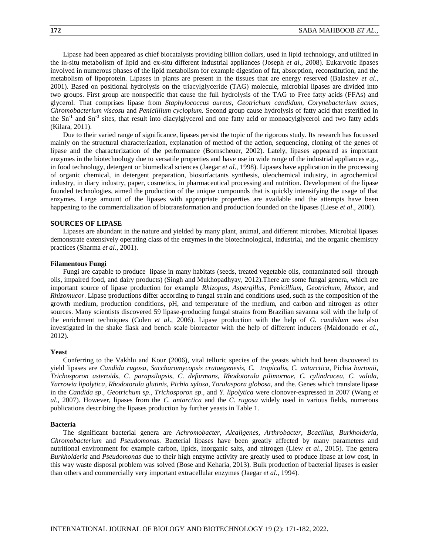Lipase had been appeared as chief biocatalysts providing billion dollars, used in lipid technology, and utilized in the in-situ metabolism of lipid and ex-situ different industrial appliances (Joseph *et al*., 2008). Eukaryotic lipases involved in numerous phases of the lipid metabolism for example digestion of fat, absorption, reconstitution, and the metabolism of lipoprotein. Lipases in plants are present in the tissues that are energy reserved (Balashev *et al*., 2001). Based on positional hydrolysis on the triacylglyceride (TAG) molecule, microbial lipases are divided into two groups. First group are nonspecific that cause the full hydrolysis of the TAG to Free fatty acids (FFAs) and glycerol. That comprises lipase from *Staphylococcus aureus, Geotrichum candidum, Corynebacterium acnes, Chromobacterium viscosu* and *Penicillium cyclopium.* Second group cause hydrolysis of fatty acid that esterified in the Sn<sup>-1</sup> and Sn<sup>-3</sup> sites, that result into diacylglycerol and one fatty acid or monoacylglycerol and two fatty acids (Kilara, 2011).

Due to their varied range of significance, lipases persist the topic of the rigorous study. Its research has focussed mainly on the structural characterization, explanation of method of the action, sequencing, cloning of the genes of lipase and the characterization of the performance (Bornscheuer, 2002). Lately, lipases appeared as important enzymes in the biotechnology due to versatile properties and have use in wide range of the industrial appliances e.g., in food technology, detergent or biomedical sciences (Jaegar *et al*., 1998). Lipases have application in the processing of organic chemical, in detergent preparation, biosurfactants synthesis, oleochemical industry, in agrochemical industry, in diary industry, paper, cosmetics, in pharmaceutical processing and nutrition. Development of the lipase founded technologies, aimed the production of the unique compounds that is quickly intensifying the usage of that enzymes. Large amount of the lipases with appropriate properties are available and the attempts have been happening to the commercialization of biotransformation and production founded on the lipases (Liese *et al*., 2000).

### **SOURCES OF LIPASE**

Lipases are abundant in the nature and yielded by many plant, animal, and different microbes. Microbial lipases demonstrate extensively operating class of the enzymes in the biotechnological, industrial, and the organic chemistry practices (Sharma *et al*., 2001).

#### **Filamentous Fungi**

Fungi are capable to produce lipase in many habitats (seeds, treated vegetable oils, contaminated soil through oils, impaired food, and dairy products) (Singh and Mukhopadhyay, 2012).There are some fungal genera, which are important source of lipase production for example *Rhizopus*, *Aspergillus*, *Penicillium*, *Geotrichum*, *Mucor*, and *Rhizomucor*. Lipase productions differ according to fungal strain and conditions used, such as the composition of the growth medium, production conditions, pH, and temperature of the medium, and carbon and nitrogen as other sources. Many scientists discovered 59 lipase-producing fungal strains from Brazilian savanna soil with the help of the enrichment techniques (Colen *et al*., 2006). Lipase production with the help of *G. candidum* was also investigated in the shake flask and bench scale bioreactor with the help of different inducers (Maldonado *et al*., 2012).

#### **Yeast**

Conferring to the Vakhlu and Kour (2006), vital telluric species of the yeasts which had been discovered to yield lipases are *Candida rugosa, Saccharomycopsis crataegenesis, C. tropicalis, C. antarctica,* Pichia *burtonii, Trichosporon asteroids, C. parapsilopsis, C. deformans, Rhodotorula pilimornae*, *C. cylindracea, C. valida, Yarrowia lipolytica, Rhodotorula glutinis, Pichia xylosa, Torulaspora globosa,* and the*.* Genes which translate lipase in the *Candida sp*., *Geotrichum sp*., *Trichosporon sp*., and *Y. lipolytica* were clonover-expressed in 2007 (Wang *et al*., 2007). However, lipases from the *C. antarctica* and the *C. rugosa* widely used in various fields, numerous publications describing the lipases production by further yeasts in Table 1.

### **Bacteria**

The significant bacterial genera are *Achromobacter, Alcaligenes, Arthrobacter, Bcacillus, Burkholderia, Chromobacterium* and *Pseudomonas*. Bacterial lipases have been greatly affected by many parameters and nutritional environment for example carbon, lipids, inorganic salts, and nitrogen (Liew *et al*., 2015). The genera *Burkholderia* and *Pseudomonas* due to their high enzyme activity are greatly used to produce lipase at low cost, in this way waste disposal problem was solved (Bose and Keharia, 2013). Bulk production of bacterial lipases is easier than others and commercially very important extracellular enzymes (Jaegar *et al.,* 1994).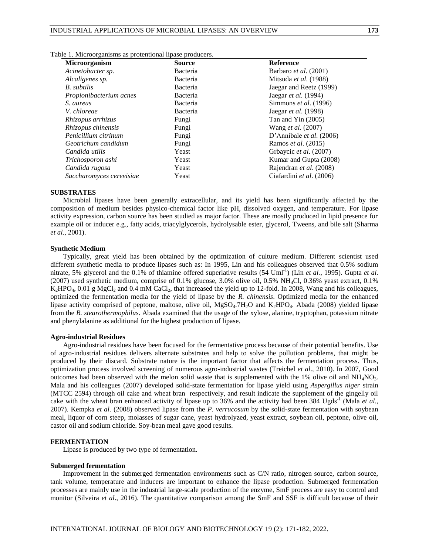| <b>Microorganism</b>     | <b>Source</b> | <b>Reference</b>            |  |
|--------------------------|---------------|-----------------------------|--|
| Acinetobacter sp.        | Bacteria      | Barbaro et al. (2001)       |  |
| Alcaligenes sp.          | Bacteria      | Mitsuda et al. (1988)       |  |
| B. subtilis              | Bacteria      | Jaegar and Reetz (1999)     |  |
| Propionibacterium acnes  | Bacteria      | Jaegar <i>et al.</i> (1994) |  |
| S. aureus                | Bacteria      | Simmons et al. (1996)       |  |
| V. chloreae              | Bacteria      | Jaegar <i>et al.</i> (1998) |  |
| Rhizopus arrhizus        | Fungi         | Tan and Yin $(2005)$        |  |
| Rhizopus chinensis       | Fungi         | Wang <i>et al.</i> (2007)   |  |
| Penicillium citrinum     | Fungi         | D'Annibale et al. (2006)    |  |
| Geotrichum candidum      | Fungi         | Ramos <i>et al.</i> (2015)  |  |
| Candida utilis           | Yeast         | Grbaycic et al. (2007)      |  |
| Trichosporon ashi        | Yeast         | Kumar and Gupta (2008)      |  |
| Candida rugosa           | Yeast         | Rajendran et al. (2008)     |  |
| Saccharomyces cerevisiae | Yeast         | Ciafardini et al. (2006)    |  |

|  |  | Table 1. Microorganisms as protentional lipase producers. |  |  |
|--|--|-----------------------------------------------------------|--|--|
|  |  |                                                           |  |  |

### **SUBSTRATES**

Microbial lipases have been generally extracellular, and its yield has been significantly affected by the composition of medium besides physico-chemical factor like pH, dissolved oxygen, and temperature. For lipase activity expression, carbon source has been studied as major factor. These are mostly produced in lipid presence for example oil or inducer e.g., fatty acids, triacylglycerols, hydrolysable ester, glycerol, Tweens, and bile salt (Sharma *et al*., 2001).

#### **Synthetic Medium**

Typically, great yield has been obtained by the optimization of culture medium. Different scientist used different synthetic media to produce lipases such as: In 1995, Lin and his colleagues observed that 0.5% sodium nitrate, 5% glycerol and the  $0.1\%$  of thiamine offered superlative results (54 Uml<sup>-1</sup>) (Lin *et al.*, 1995). Gupta *et al.* (2007) used synthetic medium, comprise of 0.1% glucose, 3.0% olive oil, 0.5% NH4Cl, 0.36% yeast extract, 0.1%  $K_2HPO_4$ , 0.01 g MgCl<sub>2</sub> and 0.4 mM CaCl<sub>2</sub>, that increased the yield up to 12-fold. In 2008, Wang and his colleagues, optimized the fermentation media for the yield of lipase by the *R. chinensis*. Optimized media for the enhanced lipase activity comprised of peptone, maltose, olive oil, MgSO<sub>4</sub>.7H<sub>2</sub>O and K<sub>2</sub>HPO<sub>4</sub>. Abada (2008) yielded lipase from the *B. stearothermophilus*. Abada examined that the usage of the xylose, alanine, tryptophan, potassium nitrate and phenylalanine as additional for the highest production of lipase.

#### **Agro-industrial Residues**

Agro-industrial residues have been focused for the fermentative process because of their potential benefits. Use of agro-industrial residues delivers alternate substrates and help to solve the pollution problems, that might be produced by their discard. Substrate nature is the important factor that affects the fermentation process. Thus, optimization process involved screening of numerous agro-industrial wastes (Treichel *et al*., 2010). In 2007, Good outcomes had been observed with the melon solid waste that is supplemented with the 1% olive oil and NH<sub>4</sub>NO<sub>3</sub>. Mala and his colleagues (2007) developed solid-state fermentation for lipase yield using *Aspergillus niger* strain (MTCC 2594) through oil cake and wheat bran respectively, and result indicate the supplement of the gingelly oil cake with the wheat bran enhanced activity of lipase up to 36% and the activity had been 384 Ugds<sup>-1</sup> (Mala *et al.*, 2007). Kempka *et al*. (2008) observed lipase from the *P. verrucosum* by the solid-state fermentation with soybean meal, liquor of corn steep, molasses of sugar cane, yeast hydrolyzed, yeast extract, soybean oil, peptone, olive oil, castor oil and sodium chloride. Soy-bean meal gave good results.

#### **FERMENTATION**

Lipase is produced by two type of fermentation.

#### **Submerged fermentation**

Improvement in the submerged fermentation environments such as C/N ratio, nitrogen source, carbon source, tank volume, temperature and inducers are important to enhance the lipase production. Submerged fermentation processes are mainly use in the industrial large-scale production of the enzyme, SmF process are easy to control and monitor (Silveira *et al*., 2016). The quantitative comparison among the SmF and SSF is difficult because of their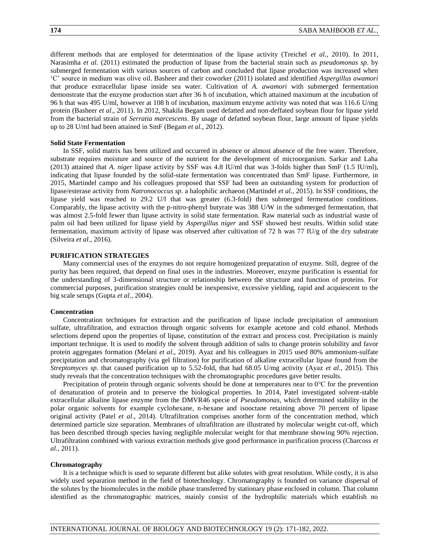different methods that are employed for determination of the lipase activity (Treichel *et al*., 2010). In 2011, Narasimha *et al*. (2011) estimated the production of lipase from the bacterial strain such as *pseudomonas sp*. by submerged fermentation with various sources of carbon and concluded that lipase production was increased when 'C' source in medium was olive oil. Basheer and their coworker (2011) isolated and identified *Aspergillus awamori* that produce extracellular lipase inside sea water. Cultivation of *A. awamori* with submerged fermentation demonstrate that the enzyme production start after 36 h of incubation, which attained maximum at the incubation of 96 h that was 495 U/ml, however at 108 h of incubation, maximum enzyme activity was noted that was 116.6 U/mg protein (Basheer *et al*., 2011). In 2012, Shakila Begam used defatted and non-deffated soybean flour for lipase yield from the bacterial strain of *Serratia marcescens*. By usage of defatted soybean flour, large amount of lipase yields up to 28 U/ml had been attained in SmF (Begam *et al*., 2012).

#### **Solid State Fermentation**

In SSF, solid matrix has been utilized and occurred in absence or almost absence of the free water. Therefore, substrate requires moisture and source of the nutrient for the development of microorganism. Sarkar and Laha (2013) attained that *A. niger* lipase activity by SSF was 4.8 IU/ml that was 3-folds higher than SmF (1.5 IU/ml), indicating that lipase founded by the solid-state fermentation was concentrated than SmF lipase. Furthermore, in 2015, Martindel campo and his colleagues proposed that SSF had been an outstanding system for production of lipase/esterase activity from *Natronococcus sp*. a halophilic archaeon (Martindel *et al.,* 2015). In SSF conditions, the lipase yield was reached to 29.2 U/l that was greater (6.3-fold) then submerged fermentation conditions. Comparably, the lipase activity with the p-nitro-phenyl butyrate was 388 U/W in the submerged fermentation, that was almost 2.5-fold fewer than lipase activity in solid state fermentation. Raw material such as industrial waste of palm oil had been utilized for lipase yield by *Aspergillus niger* and SSF showed best results. Within solid state fermentation, maximum activity of lipase was observed after cultivation of 72 h was 77 IU/g of the dry substrate (Silveira *et al*., 2016).

## **PURIFICATION STRATEGIES**

Many commercial uses of the enzymes do not require homogenized preparation of enzyme. Still, degree of the purity has been required, that depend on final uses in the industries. Moreover, enzyme purification is essential for the understanding of 3-dimensional structure or relationship between the structure and function of proteins. For commercial purposes, purification strategies could be inexpensive, excessive yielding, rapid and acquiescent to the big scale setups (Gupta *et al*., 2004).

### **Concentration**

Concentration techniques for extraction and the purification of lipase include precipitation of ammonium sulfate, ultrafiltration, and extraction through organic solvents for example acetone and cold ethanol. Methods selections depend upon the properties of lipase, constitution of the extract and process cost. Precipitation is mainly important technique. It is used to modify the solvent through addition of salts to change protein solubility and favor protein aggregates formation (Melani *et al*., 2019). Ayaz and his colleagues in 2015 used 80% ammonium-sulfate precipitation and chromatography (via gel filtration) for purification of alkaline extracellular lipase found from the *Streptomyces sp*. that caused purification up to 5.52-fold, that had 68.05 U/mg activity (Ayaz *et al*., 2015). This study reveals that the concentration techniques with the chromatographic procedures gave better results.

Precipitation of protein through organic solvents should be done at temperatures near to 0℃ for the prevention of denaturation of protein and to preserve the biological properties. In 2014, Patel investigated solvent-stable extracellular alkaline lipase enzyme from the DMVR46 specie of *Pseudomonas*, which determined stability in the polar organic solvents for example cyclohexane, n-hexane and isooctane retaining above 70 percent of lipase original activity (Patel *et al*., 2014). Ultrafiltration comprises another form of the concentration method, which determined particle size separation. Membranes of ultrafiltration are illustrated by molecular weight cut-off, which has been described through species having negligible molecular weight for that membrane showing 90% rejection. Ultrafiltration combined with various extraction methods give good performance in purification process (Charcoss *et al.,* 2011).

### **Chromatography**

It is a technique which is used to separate different but alike solutes with great resolution. While costly, it is also widely used separation method in the field of biotechnology. Chromatography is founded on variance dispersal of the solutes by the biomolecules in the mobile phase transferred by stationary phase enclosed in column. That column identified as the chromatographic matrices, mainly consist of the hydrophilic materials which establish no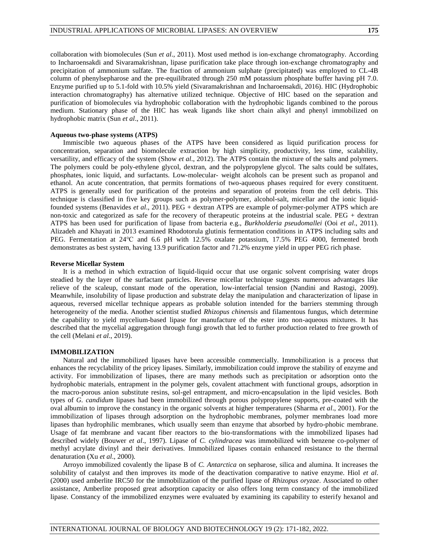collaboration with biomolecules (Sun *et al*., 2011). Most used method is ion-exchange chromatography. According to Incharoensakdi and Sivaramakrishnan, lipase purification take place through ion-exchange chromatography and precipitation of ammonium sulfate. The fraction of ammonium sulphate (precipitated) was employed to CL-4B column of phenylsepharose and the pre-equilibrated through 250 mM potassium phosphate buffer having pH 7.0. Enzyme purified up to 5.1-fold with 10.5% yield (Sivaramakrishnan and Incharoensakdi, 2016). HIC (Hydrophobic interaction chromatography) has alternative utilized technique. Objective of HIC based on the separation and purification of biomolecules via hydrophobic collaboration with the hydrophobic ligands combined to the porous medium. Stationary phase of the HIC has weak ligands like short chain alkyl and phenyl immobilized on hydrophobic matrix (Sun *et al*., 2011).

## **Aqueous two-phase systems (ATPS)**

Immiscible two aqueous phases of the ATPS have been considered as liquid purification process for concentration, separation and biomolecule extraction by high simplicity, productivity, less time, scalability, versatility, and efficacy of the system (Show *et al*., 2012). The ATPS contain the mixture of the salts and polymers. The polymers could be poly-ethylene glycol, dextran, and the polypropylene glycol. The salts could be sulfates, phosphates, ionic liquid, and surfactants. Low-molecular- weight alcohols can be present such as propanol and ethanol. An acute concentration, that permits formations of two-aqueous phases required for every constituent. ATPS is generally used for purification of the proteins and separation of proteins from the cell debris. This technique is classified in five key groups such as polymer-polymer, alcohol-salt, micellar and the ionic liquidfounded systems (Benavides *et al*., 2011). PEG + dextran ATPS are example of polymer-polymer ATPS which are non-toxic and categorized as safe for the recovery of therapeutic proteins at the industrial scale. PEG + dextran ATPS has been used for purification of lipase from bacteria e.g., *Burkholderia pseudomallei* (Ooi *et al*., 2011). Alizadeh and Khayati in 2013 examined Rhodotorula glutinis fermentation conditions in ATPS including salts and PEG. Fermentation at 24℃ and 6.6 pH with 12.5% oxalate potassium, 17.5% PEG 4000, fermented broth demonstrates as best system, having 13.9 purification factor and 71.2% enzyme yield in upper PEG rich phase.

#### **Reverse Micellar System**

It is a method in which extraction of liquid-liquid occur that use organic solvent comprising water drops steadied by the layer of the surfactant particles. Reverse micellar technique suggests numerous advantages like relieve of the scaleup, constant mode of the operation, low-interfacial tension (Nandini and Rastogi, 2009). Meanwhile, insolubility of lipase production and substrate delay the manipulation and characterization of lipase in aqueous, reversed micellar technique appears as probable solution intended for the barriers stemming through heterogeneity of the media. Another scientist studied *Rhizopus chinensis* and filamentous fungus, which determine the capability to yield mycelium-based lipase for manufacture of the ester into non-aqueous mixtures. It has described that the mycelial aggregation through fungi growth that led to further production related to free growth of the cell (Melani *et al*., 2019).

#### **IMMOBILIZATION**

Natural and the immobilized lipases have been accessible commercially. Immobilization is a process that enhances the recyclability of the pricey lipases. Similarly, immobilization could improve the stability of enzyme and activity. For immobilization of lipases, there are many methods such as precipitation or adsorption onto the hydrophobic materials, entrapment in the polymer gels, covalent attachment with functional groups, adsorption in the macro-porous anion substitute resins, sol-gel entrapment, and micro-encapsulation in the lipid vesicles. Both types of *G. candidum* lipases had been immobilized through porous polypropylene supports, pre-coated with the oval albumin to improve the constancy in the organic solvents at higher temperatures (Sharma *et al*., 2001). For the immobilization of lipases through adsorption on the hydrophobic membranes, polymer membranes load more lipases than hydrophilic membranes, which usually seem than enzyme that absorbed by hydro-phobic membrane. Usage of fat membrane and vacant fiber reactors to the bio-transformations with the immobilized lipases had described widely (Bouwer *et al*., 1997). Lipase of *C. cylindracea* was immobilized with benzene co-polymer of methyl acrylate divinyl and their derivatives. Immobilized lipases contain enhanced resistance to the thermal denaturation (Xu *et al*., 2000).

Arroyo immobilized covalently the lipase B of *C. Antarctica* on sepharose, silica and alumina. It increases the solubility of catalyst and then improves its mode of the deactivation comparative to native enzyme. Hiol *et al*. (2000) used amberlite IRC50 for the immobilization of the purified lipase of *Rhizopus oryzae*. Associated to other assistance, Amberlite proposed great adsorption capacity or also offers long term constancy of the immobilized lipase. Constancy of the immobilized enzymes were evaluated by examining its capability to esterify hexanol and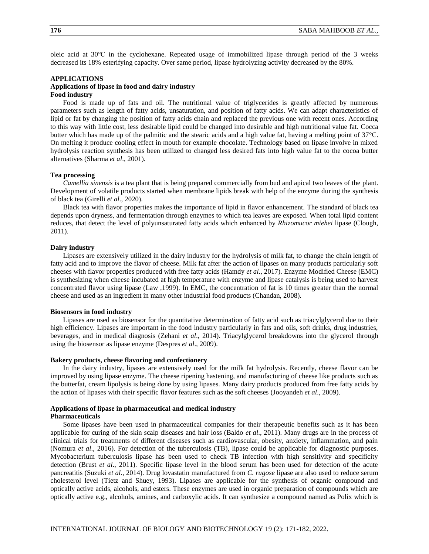oleic acid at 30℃ in the cyclohexane. Repeated usage of immobilized lipase through period of the 3 weeks decreased its 18% esterifying capacity. Over same period, lipase hydrolyzing activity decreased by the 80%.

### **APPLICATIONS**

### **Applications of lipase in food and dairy industry Food industry**

Food is made up of fats and oil. The nutritional value of triglycerides is greatly affected by numerous parameters such as length of fatty acids, unsaturation, and position of fatty acids. We can adapt characteristics of lipid or fat by changing the position of fatty acids chain and replaced the previous one with recent ones. According to this way with little cost, less desirable lipid could be changed into desirable and high nutritional value fat. Cocca butter which has made up of the palmitic and the stearic acids and a high value fat, having a melting point of 37°C. On melting it produce cooling effect in mouth for example chocolate. Technology based on lipase involve in mixed hydrolysis reaction synthesis has been utilized to changed less desired fats into high value fat to the cocoa butter alternatives (Sharma *et al*., 2001).

#### **Tea processing**

*Camellia sinensis* is a tea plant that is being prepared commercially from bud and apical two leaves of the plant. Development of volatile products started when membrane lipids break with help of the enzyme during the synthesis of black tea (Girelli *et al*., 2020).

Black tea with flavor properties makes the importance of lipid in flavor enhancement. The standard of black tea depends upon dryness, and fermentation through enzymes to which tea leaves are exposed. When total lipid content reduces, that detect the level of polyunsaturated fatty acids which enhanced by *Rhizomucor miehei* lipase (Clough, 2011).

### **Dairy industry**

Lipases are extensively utilized in the dairy industry for the hydrolysis of milk fat, to change the chain length of fatty acid and to improve the flavor of cheese. Milk fat after the action of lipases on many products particularly soft cheeses with flavor properties produced with free fatty acids (Hamdy *et al*., 2017). Enzyme Modified Cheese (EMC) is synthesizing when cheese incubated at high temperature with enzyme and lipase catalysis is being used to harvest concentrated flavor using lipase (Law ,1999). In EMC, the concentration of fat is 10 times greater than the normal cheese and used as an ingredient in many other industrial food products (Chandan, 2008).

### **Biosensors in food industry**

Lipases are used as biosensor for the quantitative determination of fatty acid such as triacylglycerol due to their high efficiency. Lipases are important in the food industry particularly in fats and oils, soft drinks, drug industries, beverages, and in medical diagnosis (Zehani *et al*., 2014). Triacylglycerol breakdowns into the glycerol through using the biosensor as lipase enzyme (Despres *et al*., 2009).

### **Bakery products, cheese flavoring and confectionery**

In the dairy industry, lipases are extensively used for the milk fat hydrolysis. Recently, cheese flavor can be improved by using lipase enzyme. The cheese ripening hastening, and manufacturing of cheese like products such as the butterfat, cream lipolysis is being done by using lipases. Many dairy products produced from free fatty acids by the action of lipases with their specific flavor features such as the soft cheeses (Jooyandeh *et al*., 2009).

### **Applications of lipase in pharmaceutical and medical industry Pharmaceuticals**

Some lipases have been used in pharmaceutical companies for their therapeutic benefits such as it has been applicable for curing of the skin scalp diseases and hair loss (Baldo *et al*., 2011). Many drugs are in the process of clinical trials for treatments of different diseases such as cardiovascular, obesity, anxiety, inflammation, and pain (Nomura *et al*., 2016). For detection of the tuberculosis (TB), lipase could be applicable for diagnostic purposes. Mycobacterium tuberculosis lipase has been used to check TB infection with high sensitivity and specificity detection (Brust *et al*., 2011). Specific lipase level in the blood serum has been used for detection of the acute pancreatitis (Suzuki *et al*., 2014). Drug lovastatin manufactured from *C. rugose* lipase are also used to reduce serum cholesterol level (Tietz and Shuey, 1993). Lipases are applicable for the synthesis of organic compound and optically active acids, alcohols, and esters. These enzymes are used in organic preparation of compounds which are optically active e.g., alcohols, amines, and carboxylic acids. It can synthesize a compound named as Polix which is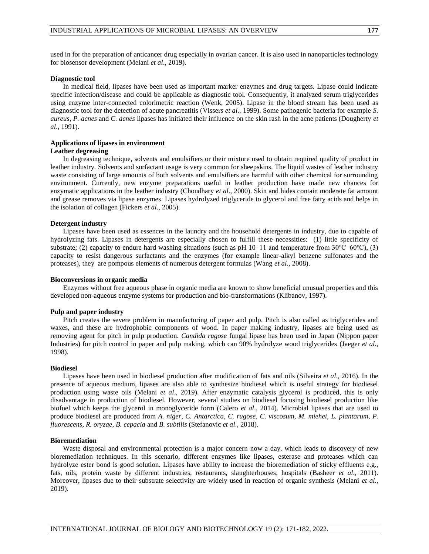used in for the preparation of anticancer drug especially in ovarian cancer. It is also used in nanoparticles technology for biosensor development (Melani *et al*., 2019).

#### **Diagnostic tool**

In medical field, lipases have been used as important marker enzymes and drug targets. Lipase could indicate specific infection/disease and could be applicable as diagnostic tool. Consequently, it analyzed serum triglycerides using enzyme inter-connected colorimetric reaction (Wenk, 2005). Lipase in the blood stream has been used as diagnostic tool for the detection of acute pancreatitis (Vissers *et al*., 1999). Some pathogenic bacteria for example *S. aureus*, *P. acnes* and *C. acnes* lipases has initiated their influence on the skin rash in the acne patients (Dougherty *et al*., 1991).

## **Applications of lipases in environment**

## **Leather degreasing**

In degreasing technique, solvents and emulsifiers or their mixture used to obtain required quality of product in leather industry. Solvents and surfactant usage is very common for sheepskins. The liquid wastes of leather industry waste consisting of large amounts of both solvents and emulsifiers are harmful with other chemical for surrounding environment. Currently, new enzyme preparations useful in leather production have made new chances for enzymatic applications in the leather industry (Choudhary *et al*., 2000). Skin and hides contain moderate fat amount and grease removes via lipase enzymes. Lipases hydrolyzed triglyceride to glycerol and free fatty acids and helps in the isolation of collagen (Fickers *et al*., 2005).

### **Detergent industry**

Lipases have been used as essences in the laundry and the household detergents in industry, due to capable of hydrolyzing fats. Lipases in detergents are especially chosen to fulfill these necessities: (1) little specificity of substrate; (2) capacity to endure hard washing situations (such as pH 10–11 and temperature from 30°C–60°C), (3) capacity to resist dangerous surfactants and the enzymes (for example linear-alkyl benzene sulfonates and the proteases), they are pompous elements of numerous detergent formulas (Wang *et al*., 2008).

#### **Bioconversions in organic media**

Enzymes without free aqueous phase in organic media are known to show beneficial unusual properties and this developed non-aqueous enzyme systems for production and bio-transformations (Klibanov, 1997).

#### **Pulp and paper industry**

Pitch creates the severe problem in manufacturing of paper and pulp. Pitch is also called as triglycerides and waxes, and these are hydrophobic components of wood. In paper making industry, lipases are being used as removing agent for pitch in pulp production. *Candida rugose* fungal lipase has been used in Japan (Nippon paper Industries) for pitch control in paper and pulp making, which can 90% hydrolyze wood triglycerides (Jaeger *et al.,* 1998).

#### **Biodiesel**

Lipases have been used in biodiesel production after modification of fats and oils (Silveira *et al*., 2016). In the presence of aqueous medium, lipases are also able to synthesize biodiesel which is useful strategy for biodiesel production using waste oils (Melani *et al*., 2019). After enzymatic catalysis glycerol is produced, this is only disadvantage in production of biodiesel. However, several studies on biodiesel focusing biodiesel production like biofuel which keeps the glycerol in monoglyceride form (Calero *et al*., 2014). Microbial lipases that are used to produce biodiesel are produced from *A. niger*, *C. Antarctica*, *C. rugose*, *C. viscosum*, *M. miehei*, *L. plantarum*, *P. fluorescens*, *R. oryzae*, *B. cepacia* and *B. subtilis* (Stefanovic *et al*., 2018).

#### **Bioremediation**

Waste disposal and environmental protection is a major concern now a day, which leads to discovery of new bioremediation techniques. In this scenario, different enzymes like lipases, esterase and proteases which can hydrolyze ester bond is good solution. Lipases have ability to increase the bioremediation of sticky effluents e.g., fats, oils, protein waste by different industries, restaurants, slaughterhouses, hospitals (Basheer *et al*., 2011). Moreover, lipases due to their substrate selectivity are widely used in reaction of organic synthesis (Melani *et al*., 2019).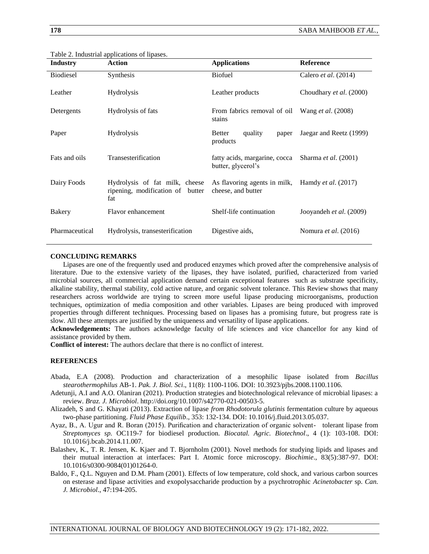| <b>Industry</b>  | <b>Action</b>                                                             | <b>Applications</b>                                 | <b>Reference</b>          |
|------------------|---------------------------------------------------------------------------|-----------------------------------------------------|---------------------------|
| <b>Biodiesel</b> | Synthesis                                                                 | <b>Biofuel</b>                                      | Calero et al. (2014)      |
| Leather          | <b>Hydrolysis</b>                                                         | Leather products                                    | Choudhary et al. (2000)   |
| Detergents       | Hydrolysis of fats                                                        | From fabrics removal of oil<br>stains               | Wang <i>et al.</i> (2008) |
| Paper            | <b>Hydrolysis</b>                                                         | quality<br><b>Better</b><br>paper<br>products       | Jaegar and Reetz (1999)   |
| Fats and oils    | Transesterification                                                       | fatty acids, margarine, cocca<br>butter, glycerol's | Sharma et al. (2001)      |
| Dairy Foods      | Hydrolysis of fat milk, cheese<br>ripening, modification of butter<br>fat | As flavoring agents in milk,<br>cheese, and butter  | Hamdy et al. (2017)       |
| Bakery           | Flavor enhancement                                                        | Shelf-life continuation                             | Jooyandeh et al. (2009)   |
| Pharmaceutical   | Hydrolysis, transesterification                                           | Digestive aids,                                     | Nomura et al. (2016)      |

Table 2. Industrial applications of lipases.

## **CONCLUDING REMARKS**

Lipases are one of the frequently used and produced enzymes which proved after the comprehensive analysis of literature. Due to the extensive variety of the lipases, they have isolated, purified, characterized from varied microbial sources, all commercial application demand certain exceptional features such as substrate specificity, alkaline stability, thermal stability, cold active nature, and organic solvent tolerance. This Review shows that many researchers across worldwide are trying to screen more useful lipase producing microorganisms, production techniques, optimization of media composition and other variables. Lipases are being produced with improved properties through different techniques. Processing based on lipases has a promising future, but progress rate is slow. All these attempts are justified by the uniqueness and versatility of lipase applications.

**Acknowledgements:** The authors acknowledge faculty of life sciences and vice chancellor for any kind of assistance provided by them.

**Conflict of interest:** The authors declare that there is no conflict of interest.

## **REFERENCES**

- Abada, E.A (2008). Production and characterization of a mesophilic lipase isolated from *Bacillus stearothermophilus* AB-1. *Pak. J. Biol. Sci*., 11(8): 1100-1106. DOI: 10.3923/pjbs.2008.1100.1106.
- Adetunji, A.I and A.O. Olaniran (2021). Production strategies and biotechnological relevance of microbial lipases: a review. *Braz. J. Microbiol*. http://doi.org/10.1007/s42770-021-00503-5.
- Alizadeh, S and G. Khayati (2013). Extraction of lipase *from Rhodotorula glutinis* fermentation culture by aqueous two-phase partitioning. *Fluid Phase Equilib*., 353: 132-134. DOI: 10.1016/j.fluid.2013.05.037.
- Ayaz, B., A. Ugur and R. Boran (2015). Purification and characterization of organic solvent- tolerant lipase from *Streptomyces sp.* OC119-7 for biodiesel production. *Biocatal. Agric. Biotechnol*., 4 (1): 103-108. DOI: 10.1016/j.bcab.2014.11.007.
- Balashev, K., T. R. Jensen, K. Kjaer and T. Bjornholm (2001). Novel methods for studying lipids and lipases and their mutual interaction at interfaces: Part I. Atomic force microscopy. *Biochimie*., 83(5):387-97. DOI: 10.1016/s0300-9084(01)01264-0.
- Baldo, F., Q.L. Nguyen and D.M. Pham (2001). Effects of low temperature, cold shock, and various carbon sources on esterase and lipase activities and exopolysaccharide production by a psychrotrophic *Acinetobacter* sp. *Can. J. Microbiol*., 47:194-205.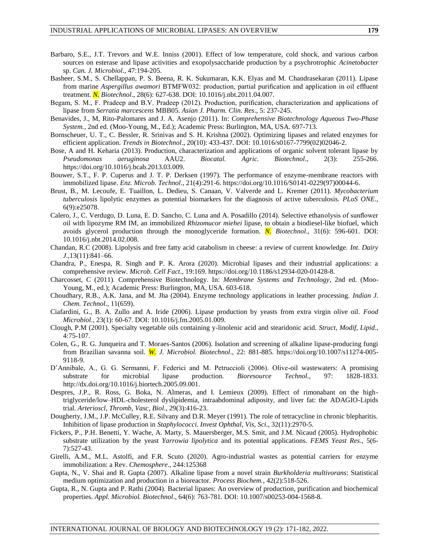- Barbaro, S.E., J.T. Trevors and W.E. Inniss (2001). Effect of low temperature, cold shock, and various carbon sources on esterase and lipase activities and exopolysaccharide production by a psychrotrophic *Acinetobacter*  sp. *Can. J. Microbiol*., 47:194-205.
- Basheer, S.M., S. Chellappan, P. S. Beena, R. K. Sukumaran, K.K. Elyas and M. Chandrasekaran (2011). Lipase from marine *Aspergillus awamori* BTMFW032: production, partial purification and application in oil effluent treatment. *N. Biotechnol*., 28(6): 627-638. DOI: 10.1016/j.nbt.2011.04.007.
- Begam, S. M., F. Pradeep and B.V. Pradeep (2012). Production, purification, characterization and applications of lipase from *Serratia marcescens* MBB05. *Asian J. Pharm. Clin. Res*., 5: 237-245.
- Benavides, J., M, Rito-Palomares and J. A. Asenjo (2011). In: *Comprehensive Biotechnology Aqueous Two-Phase System.*, 2nd ed. (Moo-Young, M., Ed.); Academic Press: Burlington, MA, USA. 697-713.
- Bornscheuer, U. T., C. Bessler, R. Srinivas and S. H. Krishna (2002). Optimizing lipases and related enzymes for efficient application. *Trends in Biotechnol*., 20(10): 433-437. DOI: 10.1016/s0167-7799(02)02046-2.
- Bose, A and H. Keharia (2013). Production, characterization and applications of organic solvent tolerant lipase by *Pseudomonas aeruginosa* AAU2. *Biocatal. Agric. Biotechnol*., 2(3): 255-266. https://doi.org/10.1016/j.bcab.2013.03.009.
- Bouwer, S.T., F. P. Cuperus and J. T. P. Derksen (1997). The performance of enzyme-membrane reactors with immobilized lipase. *Enz. Microb. Technol*., 21(4):291-6. https://doi.org/10.1016/S0141-0229(97)00044-6.
- Brust, B., M. Lecoufe, E. Tuaillon, L. Dedieu, S. Canaan, V. Valverde and L. Kremer (2011). *Mycobacterium tuberculosis* lipolytic enzymes as potential biomarkers for the diagnosis of active tuberculosis. *PLoS ONE*., 6(9):e25078.
- Calero, J., C. Verdugo, D. Luna, E. D. Sancho, C. Luna and A. Posadillo (2014). Selective ethanolysis of sunflower oil with lipozyme RM IM, an immobilized *Rhizomucor miehei* lipase, to obtain a biodiesel-like biofuel, which avoids glycerol production through the monoglyceride formation. *N. Biotechnol*., 31(6): 596-601. DOI: 10.1016/j.nbt.2014.02.008.
- Chandan, R.C (2008). Lipolysis and free fatty acid catabolism in cheese: a review of current knowledge. *Int. Dairy J*.,13(11):841–66.
- Chandra, P., Enespa, R. Singh and P. K. Arora (2020). Microbial lipases and their industrial applications: a comprehensive review. *Microb. Cell Fact*., 19:169. https://doi.org/10.1186/s12934-020-01428-8.
- Charcosset, C (2011). Comprehensive Biotechnology. In: *Membrane Systems and Technology*, 2nd ed. (Moo-Young, M., ed.); Academic Press: Burlington, MA, USA. 603-618.
- Choudhary, R.B., A.K. Jana, and M. Jha (2004). Enzyme technology applications in leather processing. *Indian J. Chem. Technol*., 11(659).
- Ciafardini, G., B. A. Zullo and A. Iride (2006). Lipase production by yeasts from extra virgin olive oil. *Food Microbiol*., 23(1): 60-67. DOI: 10.1016/j.fm.2005.01.009.
- Clough, P.M (2001). Specialty vegetable oils containing y-linolenic acid and stearidonic acid. *Struct, Modif, Lipid*., 4:75-107.
- Colen, G., R. G. Junqueira and T. Moraes-Santos (2006). Isolation and screening of alkaline lipase-producing fungi from Brazilian savanna soil. *W. J. Microbiol. Biotechnol*., 22: 881-885. https://doi.org/10.1007/s11274-005- 9118-9.
- D'Annibale, A., G. G. Sermanni, F. Federici and M. Petruccioli (2006). Olive-oil wastewaters: A promising substrate for microbial lipase production. *Bioresource Technol.,* 97: 1828-1833. http://dx.doi.org/10.1016/j.biortech.2005.09.001.
- Despres, J.P., R. Ross, G. Boka, N. Almeras, and I. Lemieux (2009). Effect of rimonabant on the hightriglyceride/low–HDL-cholesterol dyslipidemia, intraabdominal adiposity, and liver fat: the ADAGIO-Lipids trial. *Arterioscl, Thromb, Vasc, Biol*., 29(3):416-23.
- Dougherty, J.M., J.P. McCulley, R.E. Silvany and D.R. Meyer (1991). The role of tetracycline in chronic blepharitis. Inhibition of lipase production in *Staphylococci*. *Invest Ophthal, Vis, Sci*., 32(11):2970-5.
- Fickers, P., P.H. Benetti, Y. Wache, A. Marty, S. Mauersberger, M.S. Smit, and J.M. Nicaud (2005). Hydrophobic substrate utilization by the yeast *Yarrowia lipolytica* and its potential applications. *FEMS Yeast Res*., 5(6- 7):527-43.
- Girelli, A.M., M.L. Astolfi, and F.R. Scuto (2020). Agro-industrial wastes as potential carriers for enzyme immobilization: a Rev. *Chemosphere*., 244:125368
- Gupta, N., V. Shai and R. Gupta (2007). Alkaline lipase from a novel strain *Burkholderia multivorans*: Statistical medium optimization and production in a bioreactor. *Process Biochem.,* 42(2):518-526.
- Gupta, R., N. Gupta and P. Rathi (2004). Bacterial lipases: An overview of production, purification and biochemical properties. *Appl. Microbiol. Biotechnol*., 64(6): 763-781. DOI: 10.1007/s00253-004-1568-8.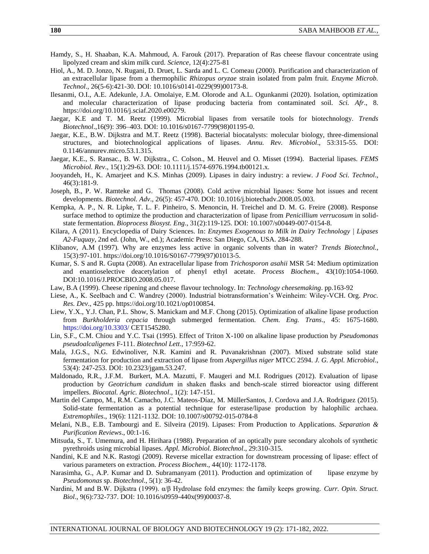- Hamdy, S., H. Shaaban, K.A. Mahmoud, A. Farouk (2017). Preparation of Ras cheese flavour concentrate using lipolyzed cream and skim milk curd. *Science*, 12(4):275-81
- Hiol, A., M. D. Jonzo, N. Rugani, D. Druet, L. Sarda and L. C. Comeau (2000). Purification and characterization of an extracellular lipase from a thermophilic *Rhizopus oryzae* strain isolated from palm fruit. *Enzyme Microb. Technol*., 26(5-6):421-30. DOI: 10.1016/s0141-0229(99)00173-8.
- Ilesanmi, O.I., A.E. Adekunle, J.A. Omolaiye, E.M. Olorode and A.L. Ogunkanmi (2020). Isolation, optimization and molecular characterization of lipase producing bacteria from contaminated soil. *Sci. Afr*., 8. https://doi.org/10.1016/j.sciaf.2020.e00279.
- Jaegar, K.E and T. M. Reetz (1999). Microbial lipases from versatile tools for biotechnology. *Trends Biotechnol*.,16(9): 396–403. DOI: 10.1016/s0167-7799(98)01195-0.
- Jaegar, K.E., B.W. Dijkstra and M.T. Reetz (1998). Bacterial biocatalysts: molecular biology, three-dimensional structures, and biotechnological applications of lipases. *Annu. Rev. Microbiol*., 53:315-55. DOI: 0.1146/annurev.micro.53.1.315.
- Jaegar, K.E., S. Ransac., B. W. Dijkstra., C. Colson., M. Heuvel and O. Misset (1994). Bacterial lipases. *FEMS Microbiol. Rev*., 15(1):29-63. DOI: 10.1111/j.1574-6976.1994.tb00121.x.
- Jooyandeh, H., K. Amarjeet and K.S. Minhas (2009). Lipases in dairy industry: a review. *J Food Sci. Technol*., 46(3):181-9.
- Joseph, B., P. W. Ramteke and G. Thomas (2008). Cold active microbial lipases: Some hot issues and recent developments. *Biotechnol. Adv*., 26(5): 457-470. DOI: 10.1016/j.biotechadv.2008.05.003.
- Kempka, A. P., N. R. Lipke, T. L. F. Pinheiro, S. Menoncin, H. Treichel and D. M. G. Freire (2008). Response surface method to optimize the production and characterization of lipase from *Penicillium verrucosum* in solidstate fermentation. *Bioprocess Biosyst. Eng*., 31(2):119-125. DOI: 10.1007/s00449-007-0154-8.
- Kilara, A (2011). Encyclopedia of Dairy Sciences. In: *Enzymes Exogenous to Milk in Dairy Technology | Lipases A2-Fuquay*, 2nd ed. (John, W., ed.); Academic Press: San Diego, CA, USA. 284-288.
- Klibanov, A.M (1997). Why are enzymes less active in organic solvents than in water? *Trends Biotechnol.*, 15(3):97-101. https://doi.org/10.1016/S0167-7799(97)01013-5.
- Kumar, S. S and R. Gupta (2008). An extracellular lipase from *Trichosporon asahii* MSR 54: Medium optimization and enantioselective deacetylation of phenyl ethyl acetate. *Process Biochem*., 43(10):1054-1060. DOI:10.1016/J.PROCBIO.2008.05.017.
- Law, B.A (1999). Cheese ripening and cheese flavour technology. In: *Technology cheesemaking*. pp.163-92
- Liese, A., K. Seelbach and C. Wandrey (2000). Industrial biotransformation's Weinheim: Wiley-VCH. Org. *Proc. Res. Dev*., 425 pp. https://doi.org/10.1021/op0100854.
- Liew, Y.X., Y.J. Chan, P.L. Show, S. Manickam and M.F. Chong (2015). Optimization of alkaline lipase production from *Burkholderia cepacia* through submerged fermentation. *Chem. Eng. Trans*., 45: 1675-1680. <https://doi.org/10.3303/> CET1545280.
- Lin, S.F., C.M. Chiou and Y.C. Tsai (1995). Effect of Triton X-100 on alkaline lipase production by *Pseudomonas pseudoalcaligenes* F-111. *Biotechnol Lett*., 17:959-62.
- Mala, J.G.S., N.G. Edwinoliver, N.R. Kamini and R. Puvanakrishnan (2007). Mixed substrate solid state fermentation for production and extraction of lipase from *Aspergillus niger* MTCC 2594. *J. G. Appl. Microbiol*., 53(4): 247-253. DOI: 10.2323/jgam.53.247.
- Maldonado, R.R., J.F.M. Burkert, M.A. Mazutti, F. Maugeri and M.I. Rodrigues (2012). Evaluation of lipase production by *Geotrichum candidum* in shaken flasks and bench-scale stirred bioreactor using different impellers. *Biocatal. Agric. Biotechnol*., 1(2): 147-151.
- Martin del Campo, M., R.M. Camacho, J.C. Mateos-Díaz, M. MüllerSantos, J. Cordova and J.A. Rodriguez (2015). Solid-state fermentation as a potential technique for esterase/lipase production by halophilic archaea. *Extremophiles*., 19(6): 1121-1132. DOI: 10.1007/s00792-015-0784-8
- Melani, N.B., E.B. Tambourgi and E. Silveira (2019). Lipases: From Production to Applications. *Separation & Purification Reviews*., 00:1-16.
- Mitsuda, S., T. Umemura, and H. Hirihara (1988). Preparation of an optically pure secondary alcohols of synthetic pyrethroids using microbial lipases. *Appl. Microbiol. Biotechnol*., 29:310-315.
- Nandini, K.E and N.K. Rastogi (2009). Reverse micellar extraction for downstream processing of lipase: effect of various parameters on extraction. *Process Biochem*., 44(10): 1172-1178.
- Narasimha, G., A.P. Kumar and D. Subramanyam (2011). Production and optimization of lipase enzyme by *Pseudomonas* sp. *Biotechnol*., 5(1): 36-42.
- Nardini, M and B.W. Dijkstra (1999). α/β Hydrolase fold enzymes: the family keeps growing. *Curr. Opin. Struct. Biol*., 9(6):732-737. DOI: 10.1016/s0959-440x(99)00037-8.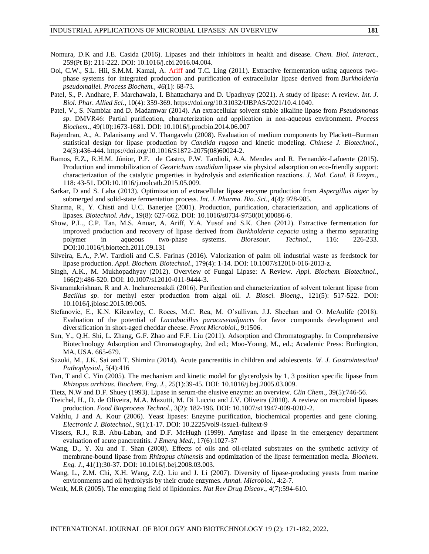- Nomura, D.K and J.E. Casida (2016). Lipases and their inhibitors in health and disease. *Chem. Biol. Interact*., 259(Pt B): 211-222. DOI: 10.1016/j.cbi.2016.04.004.
- Ooi, C.W., S.L. Hii, S.M.M. Kamal, A. Ariff and T.C. Ling (2011). Extractive fermentation using aqueous twophase systems for integrated production and purification of extracellular lipase derived from *Burkholderia pseudomallei. Process Biochem., 46*(1): 68-73.
- Patel, S., P. Andhare, F. Marchawala, I. Bhattacharya and D. Upadhyay (2021). A study of lipase: A review. *Int. J. Biol. Phar. Allied Sci*., 10(4): 359-369. [https://doi.org/10.31032/IJBPAS/2021/10.4.1040.](https://doi.org/10.31032/IJBPAS/2021/10.4.1040)
- Patel, V., S. Nambiar and D. Madamwar (2014). An extracellular solvent stable alkaline lipase from *Pseudomonas sp*. DMVR46: Partial purification, characterization and application in non-aqueous environment. *Process Biochem*., 49(10):1673-1681. DOI: 10.1016/j.procbio.2014.06.007
- Rajendran, A., A. Palanisamy and V. Thangavelu (2008). Evaluation of medium components by Plackett–Burman statistical design for lipase production by *Candida rugosa* and kinetic modeling. *Chinese J. Biotechnol*., 24(3):436-444. https://doi.org/10.1016/S1872-2075(08)60024-2.
- Ramos, E.Z., R.H.M. Júnior, P.F. de Castro, P.W. Tardioli, A.A. Mendes and R. Fernandéz-Lafuente (2015). Production and immobilization of *Geotrichum candidum* lipase via physical adsorption on eco-friendly support: characterization of the catalytic properties in hydrolysis and esterification reactions. *J. Mol. Catal. B Enzym*., 118: 43-51. DOI:10.1016/j.molcatb.2015.05.009.
- Sarkar, D and S. Laha (2013). Optimization of extracellular lipase enzyme production from *Aspergillus niger* by submerged and solid-state fermentation process. *Int. J. Pharma. Bio. Sci*., 4(4): 978-985.
- Sharma, R., Y. Chisti and U.C. Banerjee (2001). Production, purification, characterization, and applications of lipases. *Biotechnol. Adv*., 19(8): 627-662. DOI: 10.1016/s0734-9750(01)00086-6.
- Show, P.L., C.P. Tan, M.S. Anuar, A. Ariff, Y.A. Yusof and S.K. Chen (2012). Extractive fermentation for improved production and recovery of lipase derived from *Burkholderia cepacia* using a thermo separating polymer in aqueous two-phase systems. *Bioresour. Technol*., 116: 226-233. DOI:10.1016/j.biortech.2011.09.131
- Silveira, E.A., P.W. Tardioli and C.S. Farinas (2016). Valorization of palm oil industrial waste as feedstock for lipase production. *Appl. Biochem. Biotechnol*., 179(4): 1-14. DOI: 10.1007/s12010-016-2013-z.
- Singh, A.K., M. Mukhopadhyay (2012). Overview of Fungal Lipase: A Review. *Appl. Biochem. Biotechnol*., 166(2):486-520. DOI: 10.1007/s12010-011-9444-3.
- Sivaramakrishnan, R and A. Incharoensakdi (2016). Purification and characterization of solvent tolerant lipase from *Bacillus sp*. for methyl ester production from algal oil. *J. Biosci. Bioeng*., 121(5): 517-522. DOI: 10.1016/j.jbiosc.2015.09.005.
- Stefanovic, E., K.N. Kilcawley, C. Roces, M.C. Rea, M. O'sullivan, J.J. Sheehan and O. McAulife (2018). Evaluation of the potential of *Lactobacillus paracaseiadjuncts* for favor compounds development and diversification in short-aged cheddar cheese. *Front Microbiol*., 9:1506.
- Sun, Y., Q.H. Shi, L. Zhang, G.F. Zhao and F.F. Liu (2011). Adsorption and Chromatography. In Comprehensive Biotechnology Adsorption and Chromatography, 2nd ed.; Moo-Young, M., ed.; Academic Press: Burlington, MA, USA. 665-679.
- Suzuki, M., J.K. Sai and T. Shimizu (2014). Acute pancreatitis in children and adolescents. *W. J. Gastrointestinal Pathophysiol*., 5(4):416
- Tan, T and C. Yin (2005). The mechanism and kinetic model for glycerolysis by 1, 3 position specific lipase from *Rhizopus arrhizus*. *Biochem. Eng. J.,* 25(1):39-45. DOI: 10.1016/j.bej.2005.03.009.
- Tietz, N.W and D.F. Shuey (1993). Lipase in serum-the elusive enzyme: an overview. *Clin Chem*., 39(5):746-56.
- Treichel, H., D. de Oliveira, M.A. Mazutti, M. Di Luccio and J.V. Oliveira (2010). A review on microbial lipases production. *Food Bioprocess Technol*., 3(2): 182-196. DOI: 10.1007/s11947-009-0202-2.
- Vakhlu, J and A. Kour (2006). Yeast lipases: Enzyme purification, biochemical properties and gene cloning. *Electronic J. Biotechnol*., 9(1):1-17. DOI: 10.2225/vol9-issue1-fulltext-9
- Vissers, R.J., R.B. Abu-Laban, and D.F. McHugh (1999). Amylase and lipase in the emergency department evaluation of acute pancreatitis. *J Emerg Med*., 17(6):1027-37
- Wang, D., Y. Xu and T. Shan (2008). Effects of oils and oil-related substrates on the synthetic activity of membrane-bound lipase from *Rhizopus chinensis* and optimization of the lipase fermentation media. *Biochem. Eng. J*., 41(1):30-37. DOI: 10.1016/j.bej.2008.03.003.
- Wang, L., Z.M. Chi, X.H. Wang, Z.Q. Liu and J. Li (2007). Diversity of lipase-producing yeasts from marine environments and oil hydrolysis by their crude enzymes. *Annal. Microbiol*., 4:2-7.
- Wenk, M.R (2005). The emerging field of lipidomics. *Nat Rev Drug Discov*., 4(7):594-610.